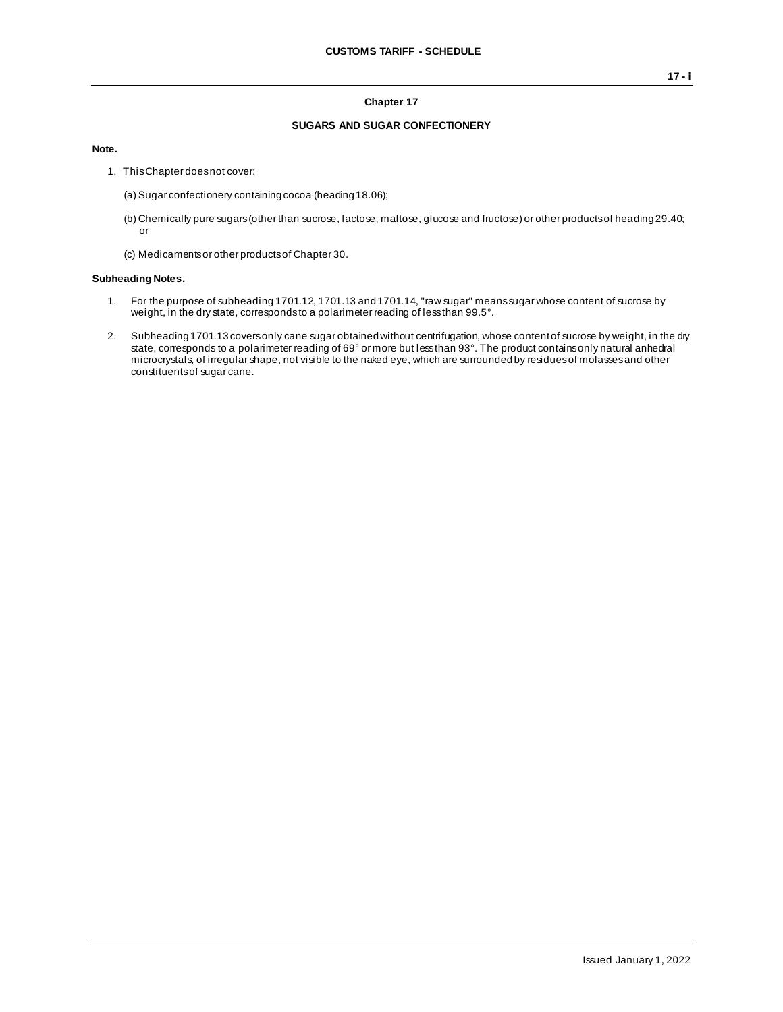#### **Chapter 17**

## **SUGARS AND SUGAR CONFECTIONERY**

**Note.**

- 1. This Chapter does not cover:
	- (a) Sugar confectionery containing cocoa (heading 18.06);
	- (b) Chemically pure sugars (other than sucrose, lactose, maltose, glucose and fructose) or other products of heading 29.40; or
	- (c) Medicaments or other products of Chapter 30.

#### **Subheading Notes.**

- 1. For the purpose of subheading 1701.12, 1701.13 and 1701.14, "raw sugar" means sugar whose content of sucrose by weight, in the dry state, corresponds to a polarimeter reading of less than 99.5°.
- 2. Subheading 1701.13 covers only cane sugar obtained without centrifugation, whose content of sucrose by weight, in the dry state, corresponds to a polarimeter reading of 69° or more but less than 93°. The product contains only natural anhedral microcrystals, of irregular shape, not visible to the naked eye, which are surrounded by residues of molasses and other constituents of sugar cane.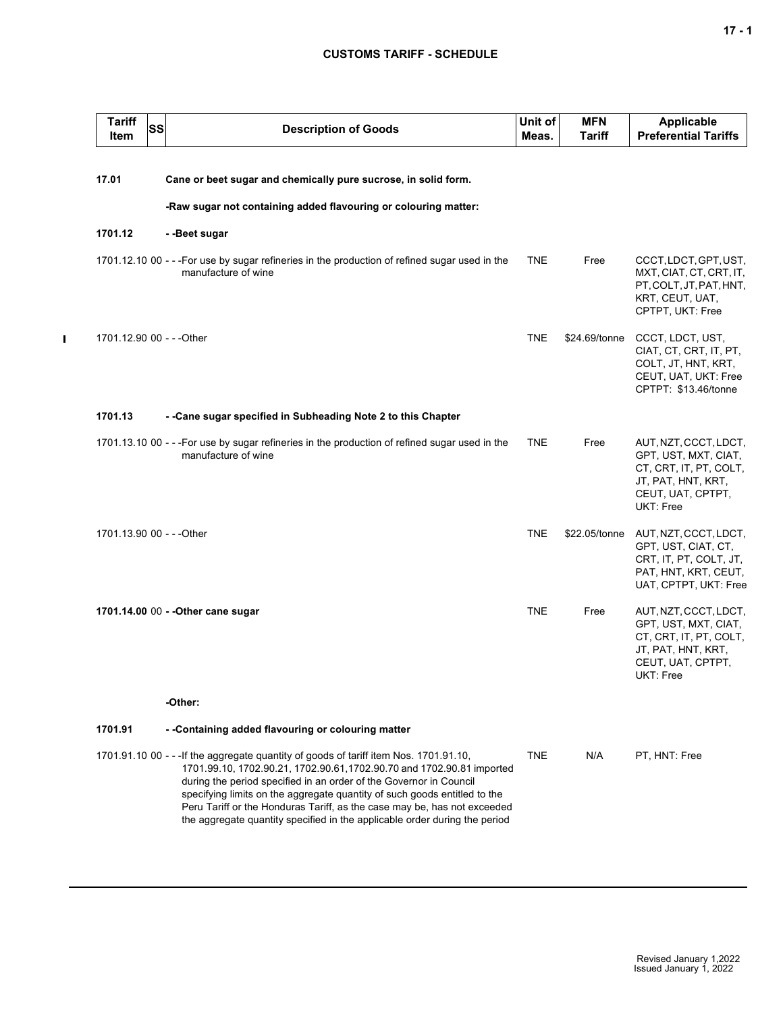## **CUSTOMS TARIFF - SCHEDULE**

| <b>Tariff</b><br>Item     | <b>SS</b> | <b>Description of Goods</b>                                                                                                                                                                                                                                                                                                                                                                                                                                                   | Unit of<br>Meas. | <b>MFN</b><br>Tariff | <b>Applicable</b><br><b>Preferential Tariffs</b>                                                                                |
|---------------------------|-----------|-------------------------------------------------------------------------------------------------------------------------------------------------------------------------------------------------------------------------------------------------------------------------------------------------------------------------------------------------------------------------------------------------------------------------------------------------------------------------------|------------------|----------------------|---------------------------------------------------------------------------------------------------------------------------------|
| 17.01                     |           | Cane or beet sugar and chemically pure sucrose, in solid form.                                                                                                                                                                                                                                                                                                                                                                                                                |                  |                      |                                                                                                                                 |
|                           |           |                                                                                                                                                                                                                                                                                                                                                                                                                                                                               |                  |                      |                                                                                                                                 |
|                           |           | -Raw sugar not containing added flavouring or colouring matter:                                                                                                                                                                                                                                                                                                                                                                                                               |                  |                      |                                                                                                                                 |
| 1701.12                   |           | - -Beet sugar                                                                                                                                                                                                                                                                                                                                                                                                                                                                 |                  |                      |                                                                                                                                 |
|                           |           | 1701.12.10 00 - - - For use by sugar refineries in the production of refined sugar used in the<br>manufacture of wine                                                                                                                                                                                                                                                                                                                                                         | <b>TNE</b>       | Free                 | CCCT, LDCT, GPT, UST,<br>MXT, CIAT, CT, CRT, IT,<br>PT, COLT, JT, PAT, HNT,<br>KRT, CEUT, UAT,<br>CPTPT, UKT: Free              |
| 1701.12.90 00 - - - Other |           |                                                                                                                                                                                                                                                                                                                                                                                                                                                                               | <b>TNE</b>       | \$24.69/tonne        | CCCT, LDCT, UST,<br>CIAT, CT, CRT, IT, PT,<br>COLT, JT, HNT, KRT,<br>CEUT, UAT, UKT: Free<br>CPTPT: \$13.46/tonne               |
| 1701.13                   |           | - -Cane sugar specified in Subheading Note 2 to this Chapter                                                                                                                                                                                                                                                                                                                                                                                                                  |                  |                      |                                                                                                                                 |
|                           |           | 1701.13.10 00 - - - For use by sugar refineries in the production of refined sugar used in the<br>manufacture of wine                                                                                                                                                                                                                                                                                                                                                         | <b>TNE</b>       | Free                 | AUT, NZT, CCCT, LDCT,<br>GPT, UST, MXT, CIAT,<br>CT, CRT, IT, PT, COLT,<br>JT, PAT, HNT, KRT,<br>CEUT, UAT, CPTPT,<br>UKT: Free |
| 1701.13.90 00 - - - Other |           |                                                                                                                                                                                                                                                                                                                                                                                                                                                                               | <b>TNE</b>       | \$22.05/tonne        | AUT, NZT, CCCT, LDCT,<br>GPT, UST, CIAT, CT,<br>CRT, IT, PT, COLT, JT,<br>PAT, HNT, KRT, CEUT,<br>UAT, CPTPT, UKT: Free         |
|                           |           | 1701.14.00 00 - - Other cane sugar                                                                                                                                                                                                                                                                                                                                                                                                                                            | <b>TNE</b>       | Free                 | AUT, NZT, CCCT, LDCT,<br>GPT, UST, MXT, CIAT,<br>CT, CRT, IT, PT, COLT,<br>JT, PAT, HNT, KRT,<br>CEUT, UAT, CPTPT,<br>UKT: Free |
|                           |           | -Other:                                                                                                                                                                                                                                                                                                                                                                                                                                                                       |                  |                      |                                                                                                                                 |
| 1701.91                   |           | - -Containing added flavouring or colouring matter                                                                                                                                                                                                                                                                                                                                                                                                                            |                  |                      |                                                                                                                                 |
|                           |           | 1701.91.10 00 - - - If the aggregate guantity of goods of tariff item Nos. 1701.91.10.<br>1701.99.10, 1702.90.21, 1702.90.61, 1702.90.70 and 1702.90.81 imported<br>during the period specified in an order of the Governor in Council<br>specifying limits on the aggregate quantity of such goods entitled to the<br>Peru Tariff or the Honduras Tariff, as the case may be, has not exceeded<br>the aggregate quantity specified in the applicable order during the period | <b>TNE</b>       | N/A                  | PT, HNT: Free                                                                                                                   |

 $\blacksquare$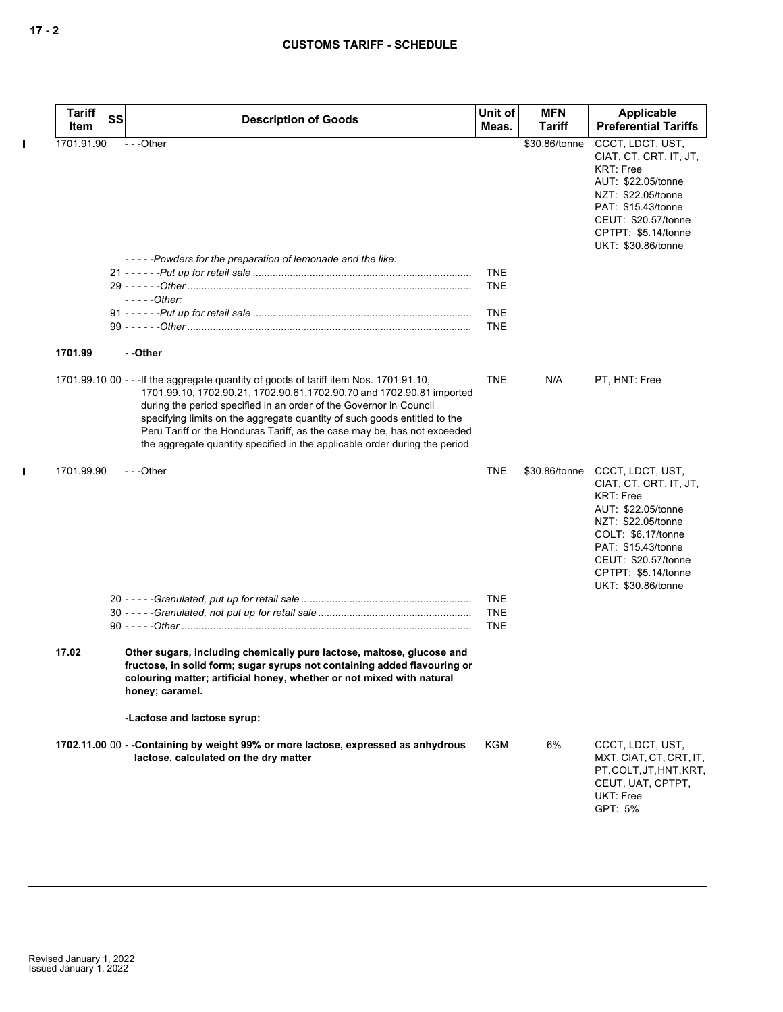| <b>Tariff</b><br>Item | SS | <b>Description of Goods</b>                                                                                                                                                                                                                                                                                                                                                                                                                                                   | Unit of<br>Meas.                                     | <b>MFN</b><br><b>Tariff</b> | Applicable<br><b>Preferential Tariffs</b>                                                                                                                                                                                                |
|-----------------------|----|-------------------------------------------------------------------------------------------------------------------------------------------------------------------------------------------------------------------------------------------------------------------------------------------------------------------------------------------------------------------------------------------------------------------------------------------------------------------------------|------------------------------------------------------|-----------------------------|------------------------------------------------------------------------------------------------------------------------------------------------------------------------------------------------------------------------------------------|
| 1701.91.90            |    | ---Other<br>-----Powders for the preparation of lemonade and the like:                                                                                                                                                                                                                                                                                                                                                                                                        |                                                      | \$30.86/tonne               | CCCT, LDCT, UST,<br>CIAT, CT, CRT, IT, JT,<br><b>KRT: Free</b><br>AUT: \$22.05/tonne<br>NZT: \$22.05/tonne<br>PAT: \$15.43/tonne<br>CEUT: \$20.57/tonne<br>CPTPT: \$5.14/tonne<br>UKT: \$30.86/tonne                                     |
|                       |    | $---Other:$                                                                                                                                                                                                                                                                                                                                                                                                                                                                   | <b>TNE</b><br><b>TNE</b><br><b>TNE</b><br><b>TNE</b> |                             |                                                                                                                                                                                                                                          |
| 1701.99               |    | - -Other                                                                                                                                                                                                                                                                                                                                                                                                                                                                      |                                                      |                             |                                                                                                                                                                                                                                          |
|                       |    | 1701.99.10 00 - - - If the aggregate quantity of goods of tariff item Nos. 1701.91.10,<br>1701.99.10, 1702.90.21, 1702.90.61, 1702.90.70 and 1702.90.81 imported<br>during the period specified in an order of the Governor in Council<br>specifying limits on the aggregate quantity of such goods entitled to the<br>Peru Tariff or the Honduras Tariff, as the case may be, has not exceeded<br>the aggregate quantity specified in the applicable order during the period | <b>TNE</b>                                           | N/A                         | PT, HNT: Free                                                                                                                                                                                                                            |
| 1701.99.90            |    | $- -$ Other                                                                                                                                                                                                                                                                                                                                                                                                                                                                   | <b>TNE</b>                                           |                             | \$30.86/tonne CCCT, LDCT, UST,<br>CIAT, CT, CRT, IT, JT,<br><b>KRT: Free</b><br>AUT: \$22.05/tonne<br>NZT: \$22.05/tonne<br>COLT: \$6.17/tonne<br>PAT: \$15.43/tonne<br>CEUT: \$20.57/tonne<br>CPTPT: \$5.14/tonne<br>UKT: \$30.86/tonne |
|                       |    |                                                                                                                                                                                                                                                                                                                                                                                                                                                                               | <b>TNE</b><br><b>TNE</b><br><b>TNE</b>               |                             |                                                                                                                                                                                                                                          |
| 17.02                 |    | Other sugars, including chemically pure lactose, maltose, glucose and<br>fructose, in solid form; sugar syrups not containing added flavouring or<br>colouring matter; artificial honey, whether or not mixed with natural<br>honey; caramel.                                                                                                                                                                                                                                 |                                                      |                             |                                                                                                                                                                                                                                          |
|                       |    | -Lactose and lactose syrup:                                                                                                                                                                                                                                                                                                                                                                                                                                                   |                                                      |                             |                                                                                                                                                                                                                                          |
|                       |    | 1702.11.00 00 - -Containing by weight 99% or more lactose, expressed as anhydrous<br>lactose, calculated on the dry matter                                                                                                                                                                                                                                                                                                                                                    | <b>KGM</b>                                           | 6%                          | CCCT, LDCT, UST,<br>MXT, CIAT, CT, CRT, IT,<br>PT, COLT, JT, HNT, KRT,<br>CEUT, UAT, CPTPT,<br>UKT: Free<br>GPT: 5%                                                                                                                      |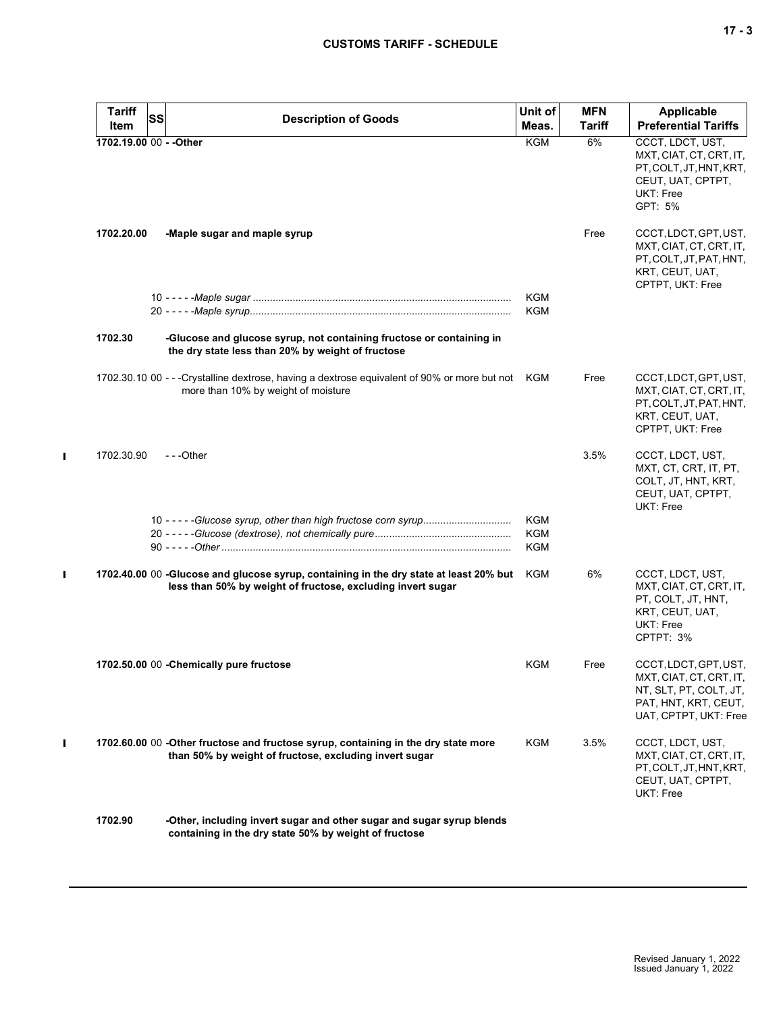| <b>Tariff</b><br>SS     | <b>Description of Goods</b>                                                                                                                           | Unit of    | <b>MFN</b>    | Applicable                                                                                                                  |
|-------------------------|-------------------------------------------------------------------------------------------------------------------------------------------------------|------------|---------------|-----------------------------------------------------------------------------------------------------------------------------|
| Item                    |                                                                                                                                                       | Meas.      | <b>Tariff</b> | <b>Preferential Tariffs</b>                                                                                                 |
| 1702.19.00 00 - - Other |                                                                                                                                                       | <b>KGM</b> | 6%            | CCCT, LDCT, UST,<br>MXT, CIAT, CT, CRT, IT,<br>PT, COLT, JT, HNT, KRT,<br>CEUT, UAT, CPTPT,<br>UKT: Free<br>GPT: 5%         |
| 1702.20.00              | -Maple sugar and maple syrup                                                                                                                          |            | Free          | CCCT, LDCT, GPT, UST,<br>MXT, CIAT, CT, CRT, IT,<br>PT, COLT, JT, PAT, HNT,<br>KRT, CEUT, UAT,<br>CPTPT, UKT: Free          |
|                         |                                                                                                                                                       | KGM        |               |                                                                                                                             |
|                         |                                                                                                                                                       | KGM        |               |                                                                                                                             |
| 1702.30                 | -Glucose and glucose syrup, not containing fructose or containing in<br>the dry state less than 20% by weight of fructose                             |            |               |                                                                                                                             |
|                         | 1702.30.10 00 - - -Crystalline dextrose, having a dextrose equivalent of 90% or more but not KGM<br>more than 10% by weight of moisture               |            | Free          | CCCT, LDCT, GPT, UST,<br>MXT, CIAT, CT, CRT, IT,<br>PT, COLT, JT, PAT, HNT,<br>KRT, CEUT, UAT,<br>CPTPT, UKT: Free          |
| 1702.30.90              | $-$ - -Other                                                                                                                                          |            | 3.5%          | CCCT, LDCT, UST,<br>MXT, CT, CRT, IT, PT,<br>COLT, JT, HNT, KRT,<br>CEUT, UAT, CPTPT,<br>UKT: Free                          |
|                         |                                                                                                                                                       | KGM        |               |                                                                                                                             |
|                         |                                                                                                                                                       | <b>KGM</b> |               |                                                                                                                             |
|                         |                                                                                                                                                       | <b>KGM</b> |               |                                                                                                                             |
|                         | 1702.40.00 00 -Glucose and glucose syrup, containing in the dry state at least 20% but<br>less than 50% by weight of fructose, excluding invert sugar | KGM        | 6%            | CCCT, LDCT, UST,<br>MXT, CIAT, CT, CRT, IT,<br>PT, COLT, JT, HNT,<br>KRT, CEUT, UAT,<br>UKT: Free<br>CPTPT: 3%              |
|                         | 1702.50.00 00 - Chemically pure fructose                                                                                                              | KGM        | Free          | CCCT, LDCT, GPT, UST,<br>MXT, CIAT, CT, CRT, IT,<br>NT, SLT, PT, COLT, JT,<br>PAT, HNT, KRT, CEUT,<br>UAT, CPTPT, UKT: Free |
|                         | 1702.60.00 00 -Other fructose and fructose syrup, containing in the dry state more<br>than 50% by weight of fructose, excluding invert sugar          | KGM        | 3.5%          | CCCT, LDCT, UST,<br>MXT, CIAT, CT, CRT, IT,<br>PT, COLT, JT, HNT, KRT,<br>CEUT, UAT, CPTPT,<br>UKT: Free                    |
| 1702.90                 | -Other, including invert sugar and other sugar and sugar syrup blends<br>containing in the dry state 50% by weight of fructose                        |            |               |                                                                                                                             |

 $\mathbf{I}$ 

 $\mathbf I$ 

 $\mathbf I$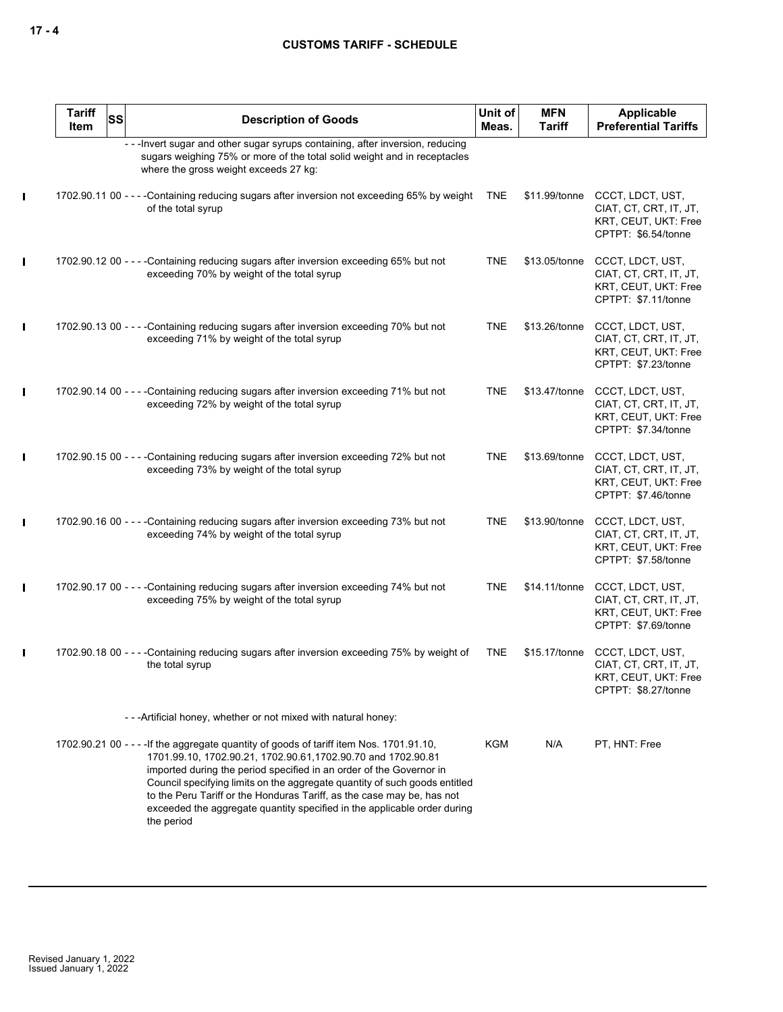|              | <b>Tariff</b><br>Item | <b>SS</b> | <b>Description of Goods</b>                                                                                                                                                                                                                                                                                                                                                                                                                                                        | Unit of<br>Meas. | <b>MFN</b><br><b>Tariff</b> | Applicable<br><b>Preferential Tariffs</b>                                                 |
|--------------|-----------------------|-----------|------------------------------------------------------------------------------------------------------------------------------------------------------------------------------------------------------------------------------------------------------------------------------------------------------------------------------------------------------------------------------------------------------------------------------------------------------------------------------------|------------------|-----------------------------|-------------------------------------------------------------------------------------------|
|              |                       |           | - - - Invert sugar and other sugar syrups containing, after inversion, reducing<br>sugars weighing 75% or more of the total solid weight and in receptacles<br>where the gross weight exceeds 27 kg:                                                                                                                                                                                                                                                                               |                  |                             |                                                                                           |
| L            |                       |           | 1702.90.11 00 - - - - Containing reducing sugars after inversion not exceeding 65% by weight<br>of the total syrup                                                                                                                                                                                                                                                                                                                                                                 | <b>TNE</b>       | \$11.99/tonne               | CCCT, LDCT, UST,<br>CIAT, CT, CRT, IT, JT,<br>KRT, CEUT, UKT: Free<br>CPTPT: \$6.54/tonne |
| L            |                       |           | 1702.90.12 00 - - - - Containing reducing sugars after inversion exceeding 65% but not<br>exceeding 70% by weight of the total syrup                                                                                                                                                                                                                                                                                                                                               | <b>TNE</b>       | \$13.05/tonne               | CCCT, LDCT, UST,<br>CIAT, CT, CRT, IT, JT,<br>KRT, CEUT, UKT: Free<br>CPTPT: \$7.11/tonne |
| L            |                       |           | 1702.90.13 00 - - - - Containing reducing sugars after inversion exceeding 70% but not<br>exceeding 71% by weight of the total syrup                                                                                                                                                                                                                                                                                                                                               | <b>TNE</b>       | \$13.26/tonne               | CCCT, LDCT, UST,<br>CIAT, CT, CRT, IT, JT,<br>KRT, CEUT, UKT: Free<br>CPTPT: \$7.23/tonne |
| L            |                       |           | 1702.90.14 00 - - - - Containing reducing sugars after inversion exceeding 71% but not<br>exceeding 72% by weight of the total syrup                                                                                                                                                                                                                                                                                                                                               | <b>TNE</b>       | \$13.47/tonne               | CCCT, LDCT, UST,<br>CIAT, CT, CRT, IT, JT,<br>KRT, CEUT, UKT: Free<br>CPTPT: \$7.34/tonne |
| L            |                       |           | 1702.90.15 00 - - - - Containing reducing sugars after inversion exceeding 72% but not<br>exceeding 73% by weight of the total syrup                                                                                                                                                                                                                                                                                                                                               | <b>TNE</b>       | \$13.69/tonne               | CCCT, LDCT, UST,<br>CIAT, CT, CRT, IT, JT,<br>KRT, CEUT, UKT: Free<br>CPTPT: \$7.46/tonne |
| L            |                       |           | 1702.90.16 00 - - - - Containing reducing sugars after inversion exceeding 73% but not<br>exceeding 74% by weight of the total syrup                                                                                                                                                                                                                                                                                                                                               | <b>TNE</b>       | \$13.90/tonne               | CCCT, LDCT, UST,<br>CIAT, CT, CRT, IT, JT,<br>KRT, CEUT, UKT: Free<br>CPTPT: \$7.58/tonne |
| L            |                       |           | 1702.90.17 00 - - - - Containing reducing sugars after inversion exceeding 74% but not<br>exceeding 75% by weight of the total syrup                                                                                                                                                                                                                                                                                                                                               | <b>TNE</b>       | \$14.11/tonne               | CCCT, LDCT, UST,<br>CIAT, CT, CRT, IT, JT,<br>KRT, CEUT, UKT: Free<br>CPTPT: \$7.69/tonne |
| $\mathbf{I}$ |                       |           | 1702.90.18 00 - - - - Containing reducing sugars after inversion exceeding 75% by weight of<br>the total syrup                                                                                                                                                                                                                                                                                                                                                                     | <b>TNE</b>       | \$15.17/tonne               | CCCT, LDCT, UST,<br>CIAT, CT, CRT, IT, JT,<br>KRT, CEUT, UKT: Free<br>CPTPT: \$8.27/tonne |
|              |                       |           | --- Artificial honey, whether or not mixed with natural honey:                                                                                                                                                                                                                                                                                                                                                                                                                     |                  |                             |                                                                                           |
|              |                       |           | 1702.90.21 00 - - - - If the aggregate quantity of goods of tariff item Nos. 1701.91.10,<br>1701.99.10, 1702.90.21, 1702.90.61, 1702.90.70 and 1702.90.81<br>imported during the period specified in an order of the Governor in<br>Council specifying limits on the aggregate quantity of such goods entitled<br>to the Peru Tariff or the Honduras Tariff, as the case may be, has not<br>exceeded the aggregate quantity specified in the applicable order during<br>the period | <b>KGM</b>       | N/A                         | PT, HNT: Free                                                                             |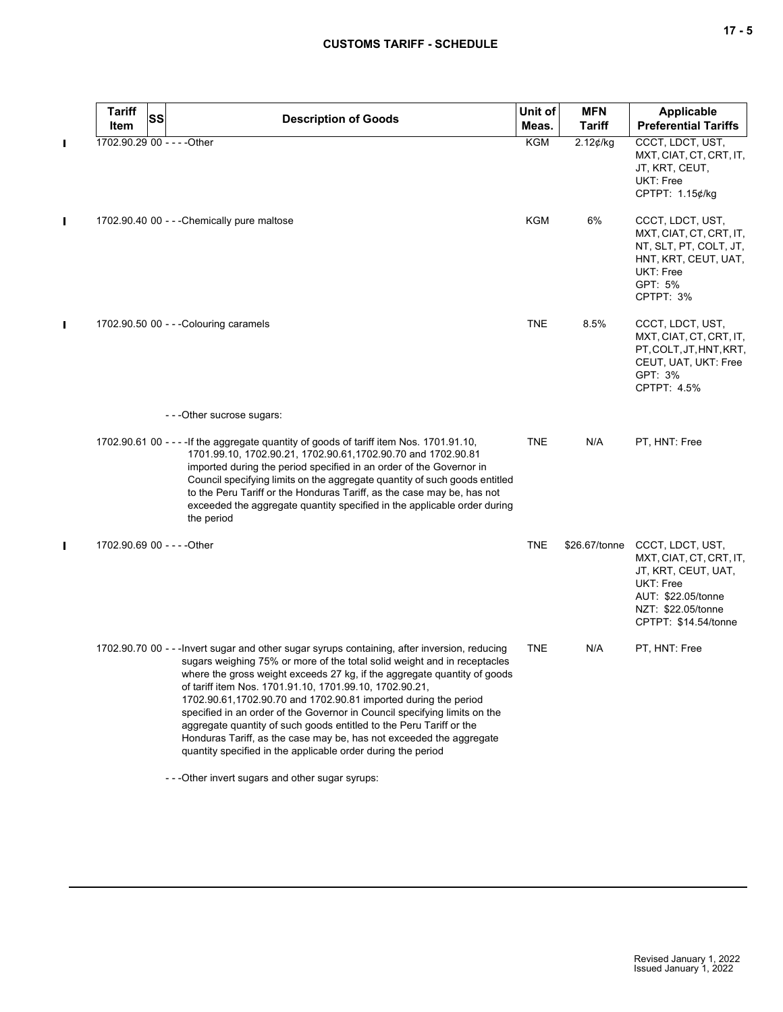|  |  | ×<br>۰. |
|--|--|---------|
|--|--|---------|

| <b>Tariff</b><br><b>SS</b><br>Item | <b>Description of Goods</b>                                                                                                                                                                                                                                                                                                                                                                                                                                                                                                                                                                                                                                                    | Unit of<br>Meas. | <b>MFN</b><br><b>Tariff</b> | <b>Applicable</b><br><b>Preferential Tariffs</b>                                                                                                    |
|------------------------------------|--------------------------------------------------------------------------------------------------------------------------------------------------------------------------------------------------------------------------------------------------------------------------------------------------------------------------------------------------------------------------------------------------------------------------------------------------------------------------------------------------------------------------------------------------------------------------------------------------------------------------------------------------------------------------------|------------------|-----------------------------|-----------------------------------------------------------------------------------------------------------------------------------------------------|
| 1702.90.29 00 - - - - Other        |                                                                                                                                                                                                                                                                                                                                                                                                                                                                                                                                                                                                                                                                                | <b>KGM</b>       | $2.12$ ¢/kg                 | CCCT, LDCT, UST,                                                                                                                                    |
|                                    |                                                                                                                                                                                                                                                                                                                                                                                                                                                                                                                                                                                                                                                                                |                  |                             | MXT, CIAT, CT, CRT, IT,<br>JT, KRT, CEUT,<br><b>UKT: Free</b><br>CPTPT: 1.15¢/kg                                                                    |
|                                    | 1702.90.40 00 - - - Chemically pure maltose                                                                                                                                                                                                                                                                                                                                                                                                                                                                                                                                                                                                                                    | KGM              | 6%                          | CCCT, LDCT, UST,<br>MXT, CIAT, CT, CRT, IT,<br>NT, SLT, PT, COLT, JT,<br>HNT, KRT, CEUT, UAT,<br>UKT: Free<br>GPT: 5%<br>CPTPT: 3%                  |
|                                    | 1702.90.50 00 - - - Colouring caramels                                                                                                                                                                                                                                                                                                                                                                                                                                                                                                                                                                                                                                         | TNE              | 8.5%                        | CCCT, LDCT, UST,<br>MXT, CIAT, CT, CRT, IT,<br>PT, COLT, JT, HNT, KRT,<br>CEUT, UAT, UKT: Free<br>GPT: 3%<br>CPTPT: 4.5%                            |
|                                    | - - - Other sucrose sugars:                                                                                                                                                                                                                                                                                                                                                                                                                                                                                                                                                                                                                                                    |                  |                             |                                                                                                                                                     |
|                                    | 1702.90.61 00 - - - - If the aggregate quantity of goods of tariff item Nos. 1701.91.10,<br>1701.99.10, 1702.90.21, 1702.90.61, 1702.90.70 and 1702.90.81<br>imported during the period specified in an order of the Governor in<br>Council specifying limits on the aggregate quantity of such goods entitled<br>to the Peru Tariff or the Honduras Tariff, as the case may be, has not<br>exceeded the aggregate quantity specified in the applicable order during<br>the period                                                                                                                                                                                             | <b>TNE</b>       | N/A                         | PT, HNT: Free                                                                                                                                       |
| 1702.90.69 00 - - - - Other        |                                                                                                                                                                                                                                                                                                                                                                                                                                                                                                                                                                                                                                                                                | <b>TNE</b>       | \$26.67/tonne               | CCCT, LDCT, UST,<br>MXT, CIAT, CT, CRT, IT,<br>JT, KRT, CEUT, UAT,<br>UKT: Free<br>AUT: \$22.05/tonne<br>NZT: \$22.05/tonne<br>CPTPT: \$14.54/tonne |
|                                    | 1702.90.70 00 - - - Invert sugar and other sugar syrups containing, after inversion, reducing<br>sugars weighing 75% or more of the total solid weight and in receptacles<br>where the gross weight exceeds 27 kg, if the aggregate quantity of goods<br>of tariff item Nos. 1701.91.10, 1701.99.10, 1702.90.21,<br>1702.90.61,1702.90.70 and 1702.90.81 imported during the period<br>specified in an order of the Governor in Council specifying limits on the<br>aggregate quantity of such goods entitled to the Peru Tariff or the<br>Honduras Tariff, as the case may be, has not exceeded the aggregate<br>quantity specified in the applicable order during the period | TNE              | N/A                         | PT, HNT: Free                                                                                                                                       |
|                                    | - - - Other invert sugars and other sugar syrups:                                                                                                                                                                                                                                                                                                                                                                                                                                                                                                                                                                                                                              |                  |                             |                                                                                                                                                     |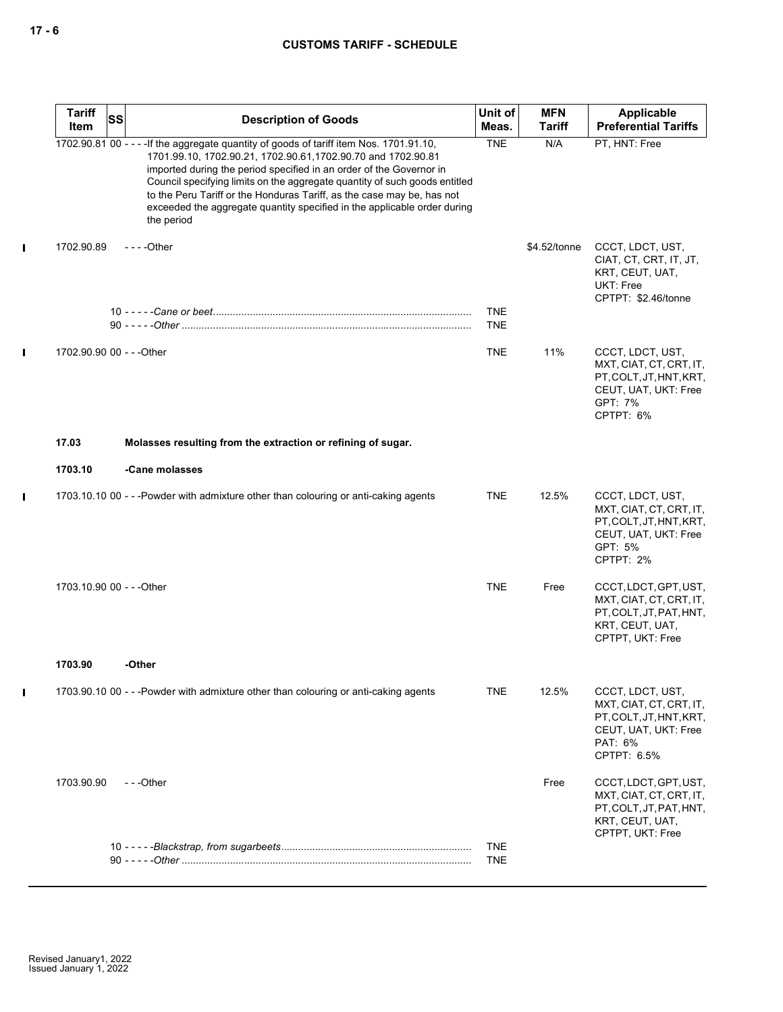# **CUSTOMS TARIFF - SCHEDULE**

| <b>Tariff</b><br>Item     | SS | <b>Description of Goods</b>                                                                                                                                                                                                                                                                                                                                                                                                                                                        | Unit of<br>Meas.         | <b>MFN</b><br>Tariff | Applicable<br><b>Preferential Tariffs</b>                                                                                |
|---------------------------|----|------------------------------------------------------------------------------------------------------------------------------------------------------------------------------------------------------------------------------------------------------------------------------------------------------------------------------------------------------------------------------------------------------------------------------------------------------------------------------------|--------------------------|----------------------|--------------------------------------------------------------------------------------------------------------------------|
|                           |    | 1702.90.81 00 - - - - If the aggregate quantity of goods of tariff item Nos. 1701.91.10,<br>1701.99.10, 1702.90.21, 1702.90.61, 1702.90.70 and 1702.90.81<br>imported during the period specified in an order of the Governor in<br>Council specifying limits on the aggregate quantity of such goods entitled<br>to the Peru Tariff or the Honduras Tariff, as the case may be, has not<br>exceeded the aggregate quantity specified in the applicable order during<br>the period | <b>TNE</b>               | N/A                  | PT, HNT: Free                                                                                                            |
| 1702.90.89                |    | $--$ Other                                                                                                                                                                                                                                                                                                                                                                                                                                                                         |                          | \$4.52/tonne         | CCCT, LDCT, UST,<br>CIAT, CT, CRT, IT, JT,<br>KRT, CEUT, UAT,<br>UKT: Free<br>CPTPT: \$2.46/tonne                        |
|                           |    |                                                                                                                                                                                                                                                                                                                                                                                                                                                                                    | <b>TNE</b><br><b>TNE</b> |                      |                                                                                                                          |
| 1702.90.90 00 - - - Other |    |                                                                                                                                                                                                                                                                                                                                                                                                                                                                                    | <b>TNE</b>               | 11%                  | CCCT, LDCT, UST,<br>MXT, CIAT, CT, CRT, IT,<br>PT, COLT, JT, HNT, KRT,<br>CEUT, UAT, UKT: Free<br>GPT: 7%<br>CPTPT: 6%   |
| 17.03                     |    | Molasses resulting from the extraction or refining of sugar.                                                                                                                                                                                                                                                                                                                                                                                                                       |                          |                      |                                                                                                                          |
| 1703.10                   |    | -Cane molasses                                                                                                                                                                                                                                                                                                                                                                                                                                                                     |                          |                      |                                                                                                                          |
|                           |    | 1703.10.10 00 - - -Powder with admixture other than colouring or anti-caking agents                                                                                                                                                                                                                                                                                                                                                                                                | <b>TNE</b>               | 12.5%                | CCCT, LDCT, UST,<br>MXT, CIAT, CT, CRT, IT,<br>PT, COLT, JT, HNT, KRT,<br>CEUT, UAT, UKT: Free<br>GPT: 5%<br>CPTPT: 2%   |
| 1703.10.90 00 - - - Other |    |                                                                                                                                                                                                                                                                                                                                                                                                                                                                                    | <b>TNE</b>               | Free                 | CCCT, LDCT, GPT, UST,<br>MXT, CIAT, CT, CRT, IT,<br>PT, COLT, JT, PAT, HNT,<br>KRT, CEUT, UAT,<br>CPTPT, UKT: Free       |
| 1703.90                   |    | -Other                                                                                                                                                                                                                                                                                                                                                                                                                                                                             |                          |                      |                                                                                                                          |
|                           |    | 1703.90.10 00 - - -Powder with admixture other than colouring or anti-caking agents                                                                                                                                                                                                                                                                                                                                                                                                | <b>TNE</b>               | 12.5%                | CCCT, LDCT, UST,<br>MXT, CIAT, CT, CRT, IT,<br>PT, COLT, JT, HNT, KRT,<br>CEUT, UAT, UKT: Free<br>PAT: 6%<br>CPTPT: 6.5% |
| 1703.90.90                |    | ---Other                                                                                                                                                                                                                                                                                                                                                                                                                                                                           |                          | Free                 | CCCT, LDCT, GPT, UST,<br>MXT, CIAT, CT, CRT, IT,<br>PT, COLT, JT, PAT, HNT,<br>KRT, CEUT, UAT,<br>CPTPT, UKT: Free       |
|                           |    |                                                                                                                                                                                                                                                                                                                                                                                                                                                                                    | <b>TNE</b><br><b>TNE</b> |                      |                                                                                                                          |

 $\mathbf{I}$ 

 $\mathbf{I}$ 

 $\mathbf I$ 

 $\mathbf I$